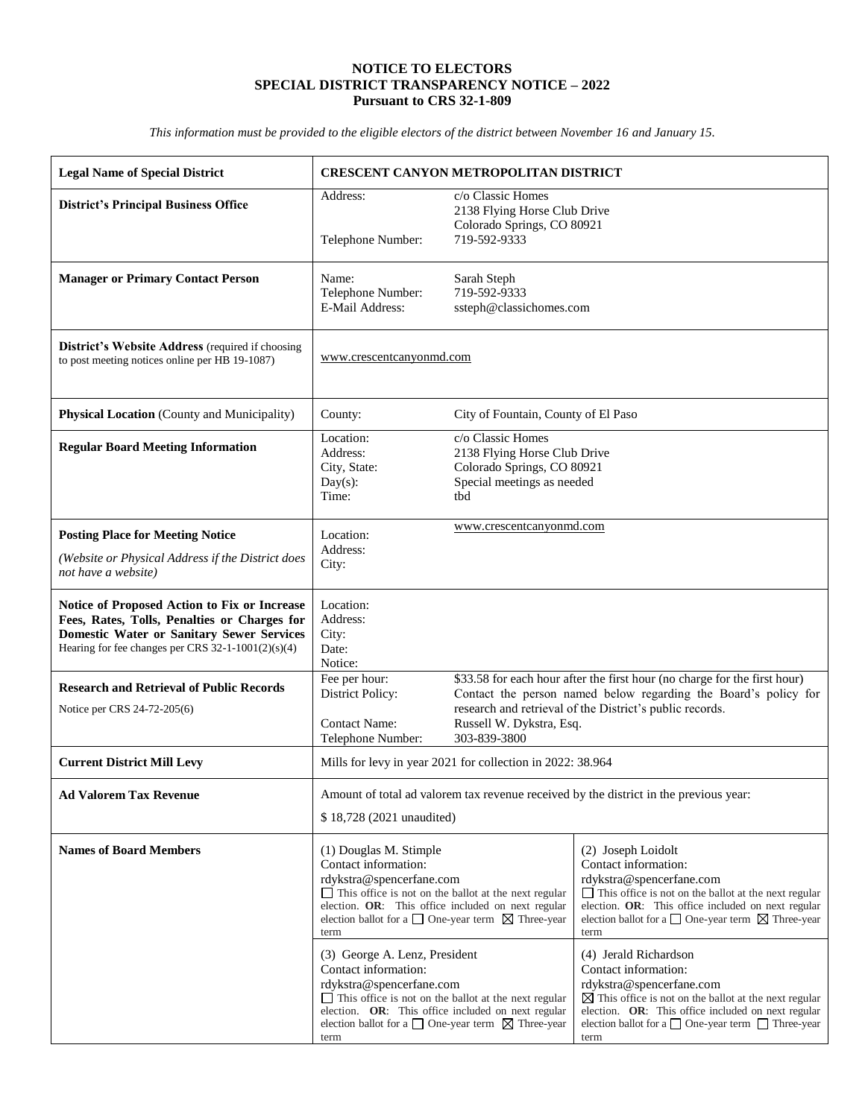## **NOTICE TO ELECTORS SPECIAL DISTRICT TRANSPARENCY NOTICE – 2022 Pursuant to CRS 32-1-809**

*This information must be provided to the eligible electors of the district between November 16 and January 15.*

| <b>Legal Name of Special District</b>                                                                                                                                                                  | <b>CRESCENT CANYON METROPOLITAN DISTRICT</b>                                                                                                                                                                                                                                                                                                                                                                                                                                                                                                                        |                                                                                                                                                                                                                                      |                                                                                                                                                                                                                                                                                                                                                                                                                                                                                                                                                    |  |  |
|--------------------------------------------------------------------------------------------------------------------------------------------------------------------------------------------------------|---------------------------------------------------------------------------------------------------------------------------------------------------------------------------------------------------------------------------------------------------------------------------------------------------------------------------------------------------------------------------------------------------------------------------------------------------------------------------------------------------------------------------------------------------------------------|--------------------------------------------------------------------------------------------------------------------------------------------------------------------------------------------------------------------------------------|----------------------------------------------------------------------------------------------------------------------------------------------------------------------------------------------------------------------------------------------------------------------------------------------------------------------------------------------------------------------------------------------------------------------------------------------------------------------------------------------------------------------------------------------------|--|--|
| <b>District's Principal Business Office</b>                                                                                                                                                            | Address:<br>Telephone Number:                                                                                                                                                                                                                                                                                                                                                                                                                                                                                                                                       | c/o Classic Homes<br>2138 Flying Horse Club Drive<br>Colorado Springs, CO 80921<br>719-592-9333                                                                                                                                      |                                                                                                                                                                                                                                                                                                                                                                                                                                                                                                                                                    |  |  |
| <b>Manager or Primary Contact Person</b>                                                                                                                                                               | Name:<br>Telephone Number:<br>E-Mail Address:                                                                                                                                                                                                                                                                                                                                                                                                                                                                                                                       | Sarah Steph<br>719-592-9333<br>ssteph@classichomes.com                                                                                                                                                                               |                                                                                                                                                                                                                                                                                                                                                                                                                                                                                                                                                    |  |  |
| District's Website Address (required if choosing<br>to post meeting notices online per HB 19-1087)                                                                                                     | www.crescentcanyonmd.com                                                                                                                                                                                                                                                                                                                                                                                                                                                                                                                                            |                                                                                                                                                                                                                                      |                                                                                                                                                                                                                                                                                                                                                                                                                                                                                                                                                    |  |  |
| Physical Location (County and Municipality)                                                                                                                                                            | County:                                                                                                                                                                                                                                                                                                                                                                                                                                                                                                                                                             | City of Fountain, County of El Paso                                                                                                                                                                                                  |                                                                                                                                                                                                                                                                                                                                                                                                                                                                                                                                                    |  |  |
| <b>Regular Board Meeting Information</b>                                                                                                                                                               | Location:<br>Address:<br>City, State:<br>$Day(s)$ :<br>Time:                                                                                                                                                                                                                                                                                                                                                                                                                                                                                                        | c/o Classic Homes<br>2138 Flying Horse Club Drive<br>Colorado Springs, CO 80921<br>Special meetings as needed<br>thd                                                                                                                 |                                                                                                                                                                                                                                                                                                                                                                                                                                                                                                                                                    |  |  |
| <b>Posting Place for Meeting Notice</b>                                                                                                                                                                | Location:                                                                                                                                                                                                                                                                                                                                                                                                                                                                                                                                                           | www.crescentcanyonmd.com                                                                                                                                                                                                             |                                                                                                                                                                                                                                                                                                                                                                                                                                                                                                                                                    |  |  |
| (Website or Physical Address if the District does<br>not have a website)                                                                                                                               | Address:<br>City:                                                                                                                                                                                                                                                                                                                                                                                                                                                                                                                                                   |                                                                                                                                                                                                                                      |                                                                                                                                                                                                                                                                                                                                                                                                                                                                                                                                                    |  |  |
| Notice of Proposed Action to Fix or Increase<br>Fees, Rates, Tolls, Penalties or Charges for<br><b>Domestic Water or Sanitary Sewer Services</b><br>Hearing for fee changes per CRS 32-1-1001(2)(s)(4) | Location:<br>Address:<br>City:<br>Date:<br>Notice:                                                                                                                                                                                                                                                                                                                                                                                                                                                                                                                  |                                                                                                                                                                                                                                      |                                                                                                                                                                                                                                                                                                                                                                                                                                                                                                                                                    |  |  |
| <b>Research and Retrieval of Public Records</b><br>Notice per CRS 24-72-205(6)                                                                                                                         | Fee per hour:<br>District Policy:<br><b>Contact Name:</b>                                                                                                                                                                                                                                                                                                                                                                                                                                                                                                           | \$33.58 for each hour after the first hour (no charge for the first hour)<br>Contact the person named below regarding the Board's policy for<br>research and retrieval of the District's public records.<br>Russell W. Dykstra, Esq. |                                                                                                                                                                                                                                                                                                                                                                                                                                                                                                                                                    |  |  |
| <b>Current District Mill Levy</b>                                                                                                                                                                      | 303-839-3800<br>Telephone Number:<br>Mills for levy in year 2021 for collection in 2022: 38.964                                                                                                                                                                                                                                                                                                                                                                                                                                                                     |                                                                                                                                                                                                                                      |                                                                                                                                                                                                                                                                                                                                                                                                                                                                                                                                                    |  |  |
| <b>Ad Valorem Tax Revenue</b>                                                                                                                                                                          | Amount of total ad valorem tax revenue received by the district in the previous year:<br>\$18,728 (2021 unaudited)                                                                                                                                                                                                                                                                                                                                                                                                                                                  |                                                                                                                                                                                                                                      |                                                                                                                                                                                                                                                                                                                                                                                                                                                                                                                                                    |  |  |
| <b>Names of Board Members</b>                                                                                                                                                                          | (1) Douglas M. Stimple<br>Contact information:<br>rdykstra@spencerfane.com<br>$\Box$ This office is not on the ballot at the next regular<br>election. OR: This office included on next regular<br>election ballot for a $\Box$ One-year term $\boxtimes$ Three-year<br>term<br>(3) George A. Lenz, President<br>Contact information:<br>rdykstra@spencerfane.com<br>$\Box$ This office is not on the ballot at the next regular<br>election. OR: This office included on next regular<br>election ballot for a $\Box$ One-year term $\boxtimes$ Three-year<br>term |                                                                                                                                                                                                                                      | (2) Joseph Loidolt<br>Contact information:<br>rdykstra@spencerfane.com<br>$\Box$ This office is not on the ballot at the next regular<br>election. OR: This office included on next regular<br>election ballot for a $\Box$ One-year term $\Box$ Three-year<br>term<br>(4) Jerald Richardson<br>Contact information:<br>rdykstra@spencerfane.com<br>$\boxtimes$ This office is not on the ballot at the next regular<br>election. OR: This office included on next regular<br>election ballot for a $\Box$ One-year term $\Box$ Three-year<br>term |  |  |